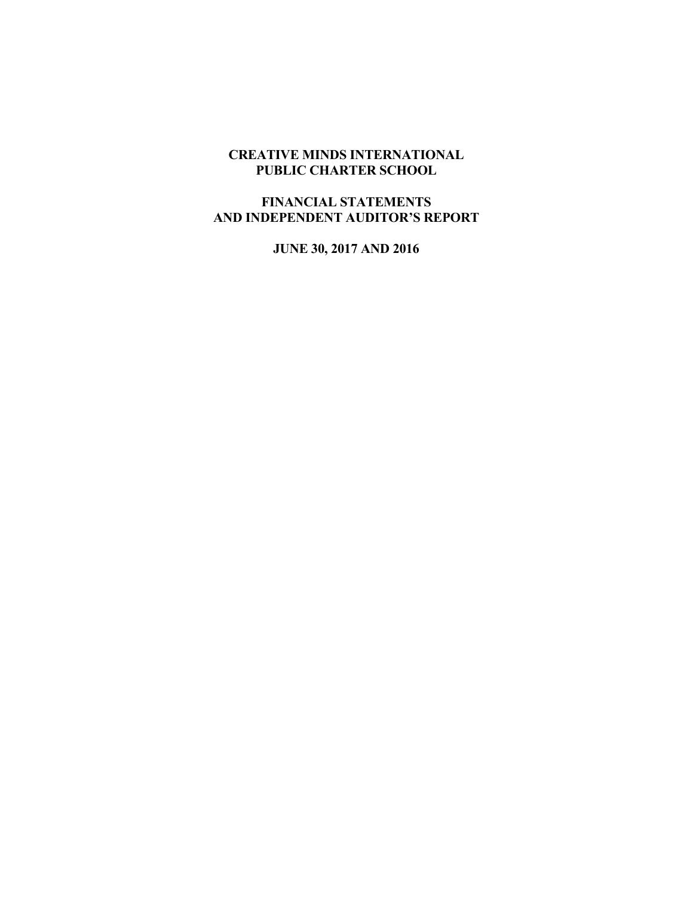# **CREATIVE MINDS INTERNATIONAL PUBLIC CHARTER SCHOOL**

## **FINANCIAL STATEMENTS AND INDEPENDENT AUDITOR'S REPORT**

**JUNE 30, 2017 AND 2016**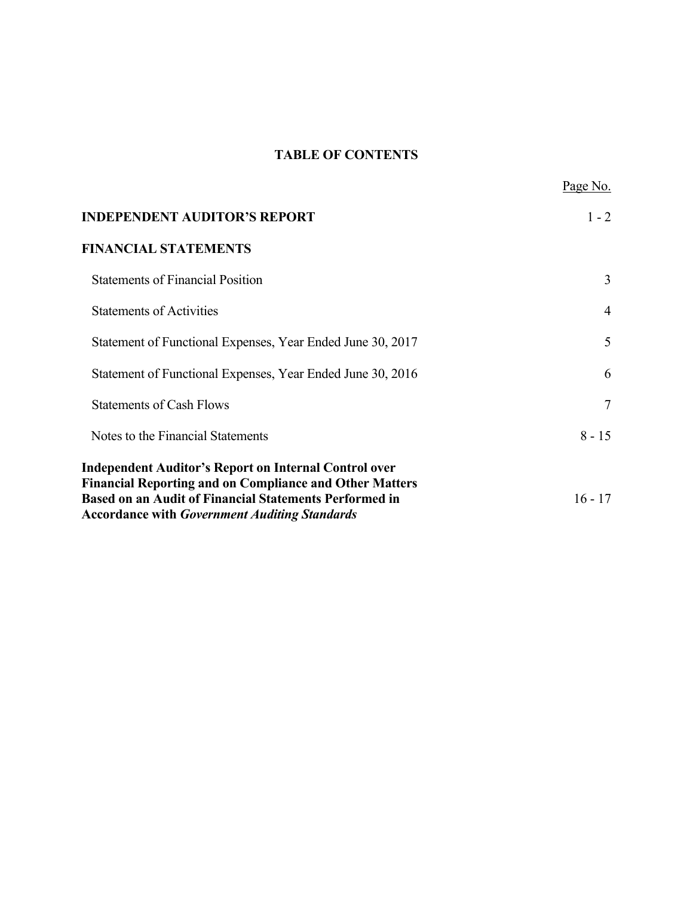# **TABLE OF CONTENTS**

|                                                                                                                                                                                                                                                         | Page No.       |
|---------------------------------------------------------------------------------------------------------------------------------------------------------------------------------------------------------------------------------------------------------|----------------|
| <b>INDEPENDENT AUDITOR'S REPORT</b>                                                                                                                                                                                                                     | $1 - 2$        |
| <b>FINANCIAL STATEMENTS</b>                                                                                                                                                                                                                             |                |
| <b>Statements of Financial Position</b>                                                                                                                                                                                                                 | 3              |
| <b>Statements of Activities</b>                                                                                                                                                                                                                         | $\overline{4}$ |
| Statement of Functional Expenses, Year Ended June 30, 2017                                                                                                                                                                                              | 5              |
| Statement of Functional Expenses, Year Ended June 30, 2016                                                                                                                                                                                              | 6              |
| <b>Statements of Cash Flows</b>                                                                                                                                                                                                                         | $\overline{7}$ |
| Notes to the Financial Statements                                                                                                                                                                                                                       | $8 - 15$       |
| <b>Independent Auditor's Report on Internal Control over</b><br><b>Financial Reporting and on Compliance and Other Matters</b><br><b>Based on an Audit of Financial Statements Performed in</b><br><b>Accordance with Government Auditing Standards</b> | $16 - 17$      |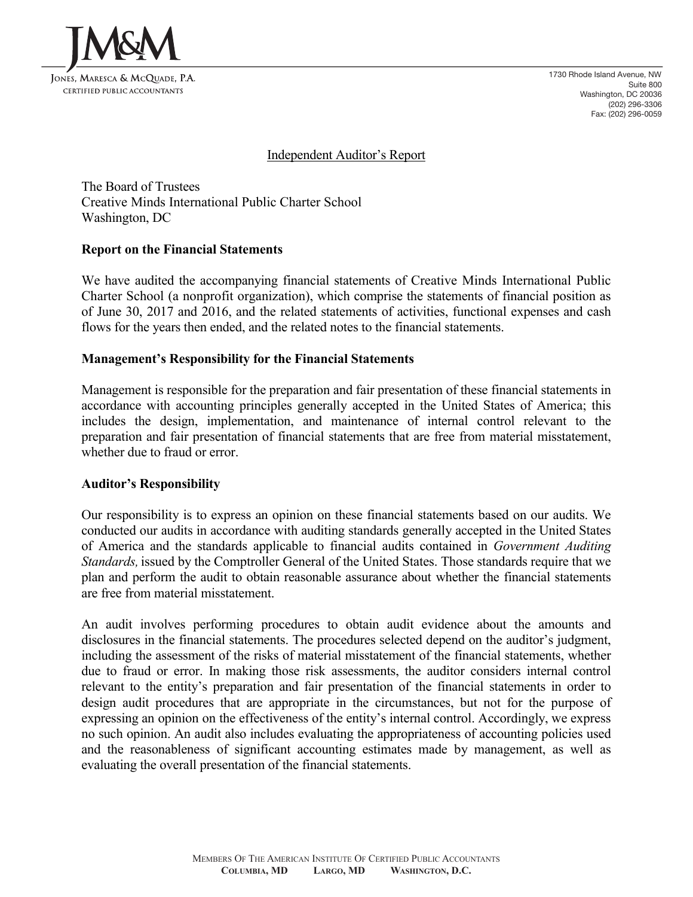

### Independent Auditor's Report

The Board of Trustees Creative Minds International Public Charter School Washington, DC

### **Report on the Financial Statements**

We have audited the accompanying financial statements of Creative Minds International Public Charter School (a nonprofit organization), which comprise the statements of financial position as of June 30, 2017 and 2016, and the related statements of activities, functional expenses and cash flows for the years then ended, and the related notes to the financial statements.

#### **Management's Responsibility for the Financial Statements**

Management is responsible for the preparation and fair presentation of these financial statements in accordance with accounting principles generally accepted in the United States of America; this includes the design, implementation, and maintenance of internal control relevant to the preparation and fair presentation of financial statements that are free from material misstatement, whether due to fraud or error.

#### **Auditor's Responsibility**

Our responsibility is to express an opinion on these financial statements based on our audits. We conducted our audits in accordance with auditing standards generally accepted in the United States of America and the standards applicable to financial audits contained in *Government Auditing Standards,* issued by the Comptroller General of the United States. Those standards require that we plan and perform the audit to obtain reasonable assurance about whether the financial statements are free from material misstatement.

An audit involves performing procedures to obtain audit evidence about the amounts and disclosures in the financial statements. The procedures selected depend on the auditor's judgment, including the assessment of the risks of material misstatement of the financial statements, whether due to fraud or error. In making those risk assessments, the auditor considers internal control relevant to the entity's preparation and fair presentation of the financial statements in order to design audit procedures that are appropriate in the circumstances, but not for the purpose of expressing an opinion on the effectiveness of the entity's internal control. Accordingly, we express no such opinion. An audit also includes evaluating the appropriateness of accounting policies used and the reasonableness of significant accounting estimates made by management, as well as evaluating the overall presentation of the financial statements.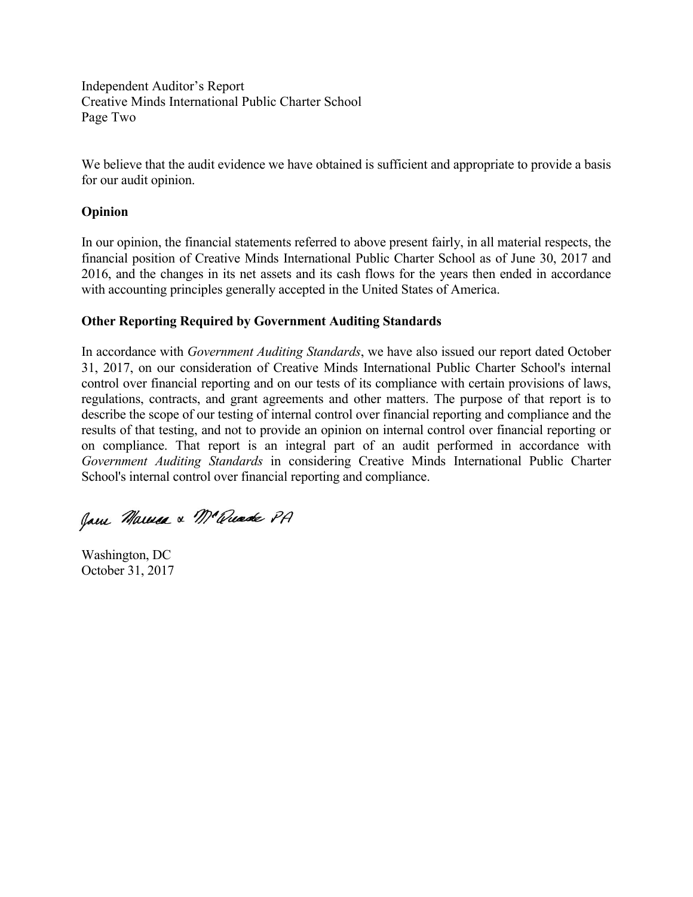Independent Auditor's Report Creative Minds International Public Charter School Page Two

We believe that the audit evidence we have obtained is sufficient and appropriate to provide a basis for our audit opinion.

# **Opinion**

In our opinion, the financial statements referred to above present fairly, in all material respects, the financial position of Creative Minds International Public Charter School as of June 30, 2017 and 2016, and the changes in its net assets and its cash flows for the years then ended in accordance with accounting principles generally accepted in the United States of America.

# **Other Reporting Required by Government Auditing Standards**

In accordance with *Government Auditing Standards*, we have also issued our report dated October 31, 2017, on our consideration of Creative Minds International Public Charter School's internal control over financial reporting and on our tests of its compliance with certain provisions of laws, regulations, contracts, and grant agreements and other matters. The purpose of that report is to describe the scope of our testing of internal control over financial reporting and compliance and the results of that testing, and not to provide an opinion on internal control over financial reporting or on compliance. That report is an integral part of an audit performed in accordance with *Government Auditing Standards* in considering Creative Minds International Public Charter School's internal control over financial reporting and compliance.

Jam Marina & Mc Quade PA

Washington, DC October 31, 2017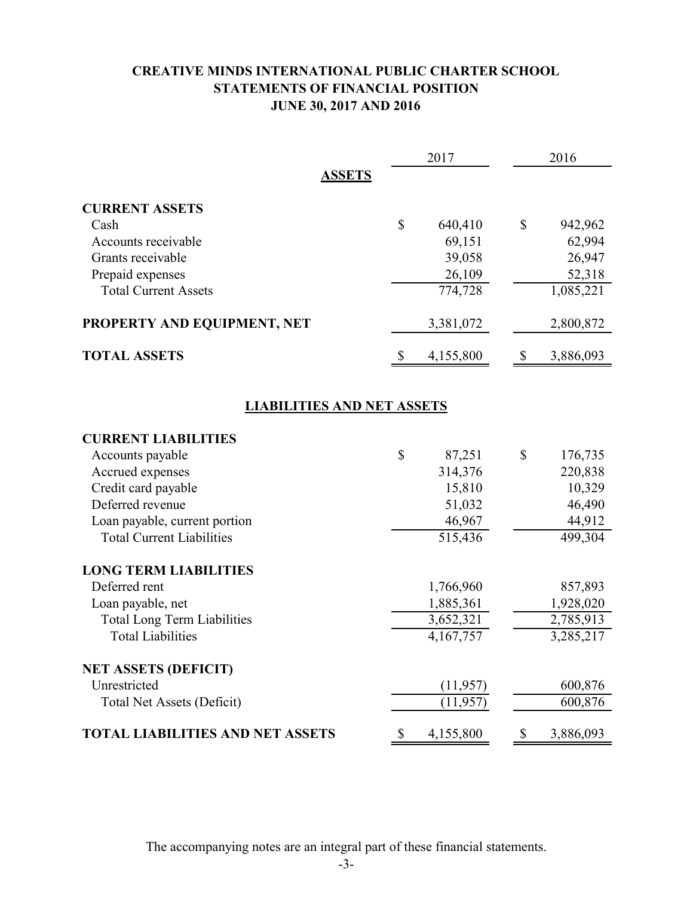# **CREATIVE MINDS INTERNATIONAL PUBLIC CHARTER SCHOOL STATEMENTS OF FINANCIAL POSITION JUNE 30, 2017 AND 2016**

|                                         | 2017         |           | 2016          |           |
|-----------------------------------------|--------------|-----------|---------------|-----------|
| <b>ASSETS</b>                           |              |           |               |           |
| <b>CURRENT ASSETS</b>                   |              |           |               |           |
| Cash                                    | $\mathbb{S}$ | 640,410   | $\mathcal{S}$ | 942,962   |
| Accounts receivable                     |              | 69,151    |               | 62,994    |
| Grants receivable                       |              | 39,058    |               | 26,947    |
| Prepaid expenses                        |              | 26,109    |               | 52,318    |
| <b>Total Current Assets</b>             |              | 774,728   |               | 1,085,221 |
| PROPERTY AND EQUIPMENT, NET             |              | 3,381,072 |               | 2,800,872 |
| <b>TOTAL ASSETS</b>                     | <sup>8</sup> | 4,155,800 | $\mathbb{S}$  | 3,886,093 |
|                                         |              |           |               |           |
| <b>LIABILITIES AND NET ASSETS</b>       |              |           |               |           |
| <b>CURRENT LIABILITIES</b>              |              |           |               |           |
| Accounts payable                        | \$           | 87,251    | $\mathbb{S}$  | 176,735   |
| Accrued expenses                        |              | 314,376   |               | 220,838   |
| Credit card payable                     |              | 15,810    |               | 10,329    |
| Deferred revenue                        |              | 51,032    |               | 46,490    |
| Loan payable, current portion           |              | 46,967    |               | 44,912    |
| <b>Total Current Liabilities</b>        |              | 515,436   |               | 499,304   |
| <b>LONG TERM LIABILITIES</b>            |              |           |               |           |
| Deferred rent                           |              | 1,766,960 |               | 857,893   |
| Loan payable, net                       |              | 1,885,361 |               | 1,928,020 |
| <b>Total Long Term Liabilities</b>      |              | 3,652,321 |               | 2,785,913 |
| <b>Total Liabilities</b>                |              | 4,167,757 |               | 3,285,217 |
| <b>NET ASSETS (DEFICIT)</b>             |              |           |               |           |
| Unrestricted                            |              | (11, 957) |               | 600,876   |
| <b>Total Net Assets (Deficit)</b>       |              | (11, 957) |               | 600,876   |
| <b>TOTAL LIABILITIES AND NET ASSETS</b> | \$           | 4,155,800 | \$            | 3,886,093 |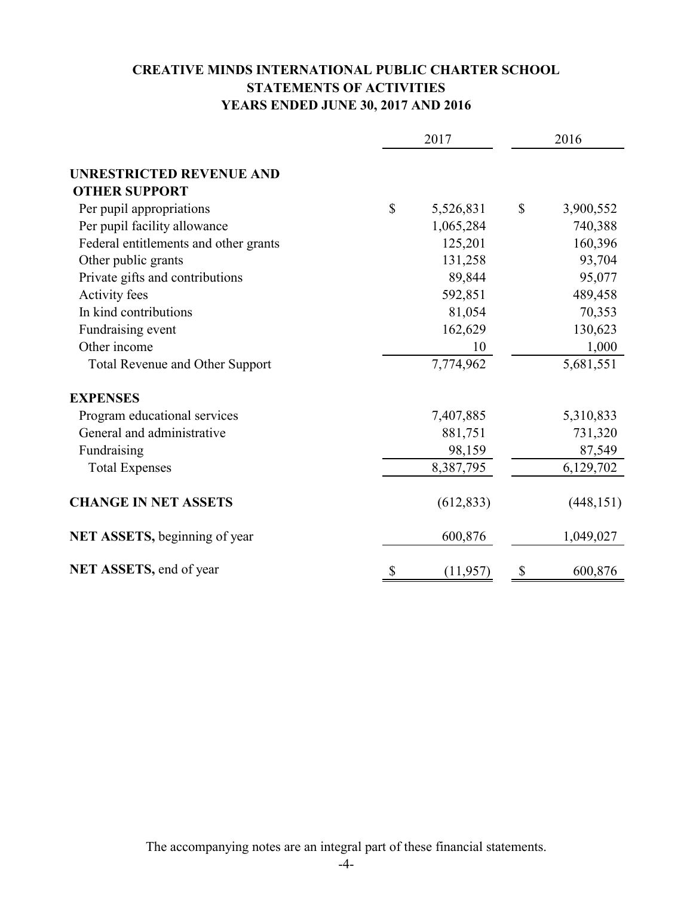# **CREATIVE MINDS INTERNATIONAL PUBLIC CHARTER SCHOOL STATEMENTS OF ACTIVITIES YEARS ENDED JUNE 30, 2017 AND 2016**

|                                        | 2017 |            | 2016 |            |
|----------------------------------------|------|------------|------|------------|
| <b>UNRESTRICTED REVENUE AND</b>        |      |            |      |            |
| <b>OTHER SUPPORT</b>                   |      |            |      |            |
| Per pupil appropriations               | \$   | 5,526,831  | \$   | 3,900,552  |
| Per pupil facility allowance           |      | 1,065,284  |      | 740,388    |
| Federal entitlements and other grants  |      | 125,201    |      | 160,396    |
| Other public grants                    |      | 131,258    |      | 93,704     |
| Private gifts and contributions        |      | 89,844     |      | 95,077     |
| Activity fees                          |      | 592,851    |      | 489,458    |
| In kind contributions                  |      | 81,054     |      | 70,353     |
| Fundraising event                      |      | 162,629    |      | 130,623    |
| Other income                           |      | 10         |      | 1,000      |
| <b>Total Revenue and Other Support</b> |      | 7,774,962  |      | 5,681,551  |
| <b>EXPENSES</b>                        |      |            |      |            |
| Program educational services           |      | 7,407,885  |      | 5,310,833  |
| General and administrative             |      | 881,751    |      | 731,320    |
| Fundraising                            |      | 98,159     |      | 87,549     |
| <b>Total Expenses</b>                  |      | 8,387,795  |      | 6,129,702  |
| <b>CHANGE IN NET ASSETS</b>            |      | (612, 833) |      | (448, 151) |
| <b>NET ASSETS, beginning of year</b>   |      | 600,876    |      | 1,049,027  |
| NET ASSETS, end of year                | \$   | (11, 957)  | \$   | 600,876    |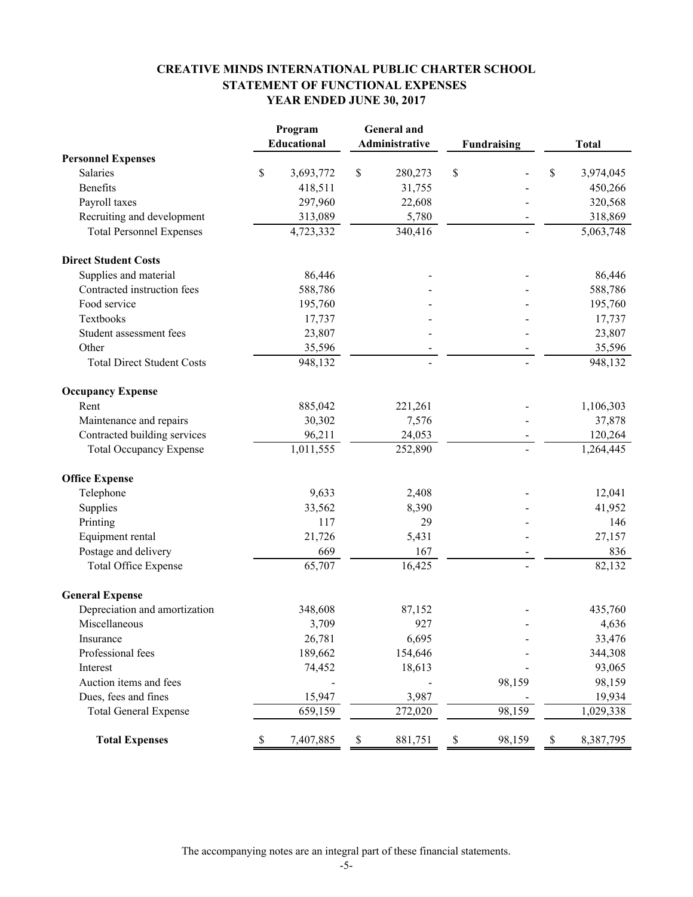# **CREATIVE MINDS INTERNATIONAL PUBLIC CHARTER SCHOOL STATEMENT OF FUNCTIONAL EXPENSES YEAR ENDED JUNE 30, 2017**

|                                   | Program     | <b>General</b> and                  |                       |                          |
|-----------------------------------|-------------|-------------------------------------|-----------------------|--------------------------|
|                                   | Educational | Administrative                      | <b>Fundraising</b>    | <b>Total</b>             |
| <b>Personnel Expenses</b>         |             |                                     |                       |                          |
| Salaries                          | \$          | 3,693,772<br>\$<br>280,273          | \$                    | \$<br>3,974,045          |
| <b>Benefits</b>                   |             | 418,511<br>31,755                   |                       | 450,266                  |
| Payroll taxes                     |             | 297,960<br>22,608                   |                       | 320,568                  |
| Recruiting and development        |             | 313,089<br>5,780                    |                       | 318,869                  |
| <b>Total Personnel Expenses</b>   |             | 4,723,332<br>340,416                |                       | 5,063,748                |
| <b>Direct Student Costs</b>       |             |                                     |                       |                          |
| Supplies and material             |             | 86,446                              |                       | 86,446                   |
| Contracted instruction fees       |             | 588,786                             |                       | 588,786                  |
| Food service                      |             | 195,760                             |                       | 195,760                  |
| Textbooks                         |             | 17,737                              |                       | 17,737                   |
| Student assessment fees           |             | 23,807                              |                       | 23,807                   |
| Other                             |             | 35,596                              |                       | 35,596                   |
| <b>Total Direct Student Costs</b> |             | 948,132                             |                       | 948,132                  |
| <b>Occupancy Expense</b>          |             |                                     |                       |                          |
| Rent                              |             | 885,042<br>221,261                  |                       | 1,106,303                |
| Maintenance and repairs           |             | 30,302<br>7,576                     |                       | 37,878                   |
| Contracted building services      |             | 96,211<br>24,053                    |                       | 120,264                  |
| <b>Total Occupancy Expense</b>    |             | $\overline{1,}011,555$<br>252,890   |                       | 1,264,445                |
| <b>Office Expense</b>             |             |                                     |                       |                          |
| Telephone                         |             | 9,633<br>2,408                      |                       | 12,041                   |
| Supplies                          |             | 33,562<br>8,390                     |                       | 41,952                   |
| Printing                          |             | 29<br>117                           |                       | 146                      |
| Equipment rental                  |             | 21,726<br>5,431                     |                       | 27,157                   |
| Postage and delivery              |             | 669<br>167                          |                       | 836                      |
| <b>Total Office Expense</b>       |             | 65,707<br>16,425                    |                       | 82,132                   |
| <b>General Expense</b>            |             |                                     |                       |                          |
| Depreciation and amortization     |             | 348,608<br>87,152                   |                       | 435,760                  |
| Miscellaneous                     |             | 3,709<br>927                        |                       | 4,636                    |
| Insurance                         |             | 6,695<br>26,781                     |                       | 33,476                   |
| Professional fees                 |             | 189,662<br>154,646                  |                       | 344,308                  |
| Interest                          |             | 74,452<br>18,613                    |                       | 93,065                   |
| Auction items and fees            |             |                                     | 98,159                | 98,159                   |
| Dues, fees and fines              |             | 15,947<br>3,987                     |                       | 19,934                   |
| <b>Total General Expense</b>      |             | 659,159<br>272,020                  | 98,159                | 1,029,338                |
| <b>Total Expenses</b>             | \$          | 7,407,885<br>$\mathbb S$<br>881,751 | $\mathbb S$<br>98,159 | $\mathbb S$<br>8,387,795 |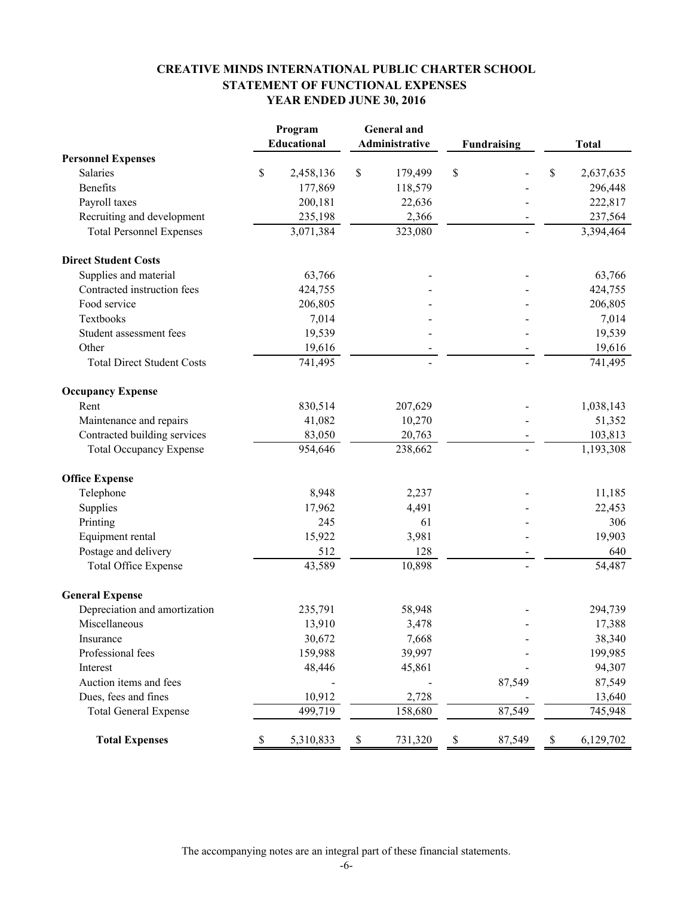# **CREATIVE MINDS INTERNATIONAL PUBLIC CHARTER SCHOOL STATEMENT OF FUNCTIONAL EXPENSES YEAR ENDED JUNE 30, 2016**

|                                   | Program         |             | <b>General</b> and |                    |        |             |              |
|-----------------------------------|-----------------|-------------|--------------------|--------------------|--------|-------------|--------------|
|                                   | Educational     |             | Administrative     | <b>Fundraising</b> |        |             | <b>Total</b> |
| <b>Personnel Expenses</b>         |                 |             |                    |                    |        |             |              |
| Salaries                          | \$<br>2,458,136 | \$          | 179,499            | \$                 |        | \$          | 2,637,635    |
| <b>Benefits</b>                   | 177,869         |             | 118,579            |                    |        |             | 296,448      |
| Payroll taxes                     | 200,181         |             | 22,636             |                    |        |             | 222,817      |
| Recruiting and development        | 235,198         |             | 2,366              |                    |        |             | 237,564      |
| <b>Total Personnel Expenses</b>   | 3,071,384       |             | 323,080            |                    |        |             | 3,394,464    |
| <b>Direct Student Costs</b>       |                 |             |                    |                    |        |             |              |
| Supplies and material             | 63,766          |             |                    |                    |        |             | 63,766       |
| Contracted instruction fees       | 424,755         |             |                    |                    |        |             | 424,755      |
| Food service                      | 206,805         |             |                    |                    |        |             | 206,805      |
| Textbooks                         | 7,014           |             |                    |                    |        |             | 7,014        |
| Student assessment fees           | 19,539          |             |                    |                    |        |             | 19,539       |
| Other                             | 19,616          |             |                    |                    |        |             | 19,616       |
| <b>Total Direct Student Costs</b> | 741,495         |             |                    |                    |        |             | 741,495      |
| <b>Occupancy Expense</b>          |                 |             |                    |                    |        |             |              |
| Rent                              | 830,514         |             | 207,629            |                    |        |             | 1,038,143    |
| Maintenance and repairs           | 41,082          |             | 10,270             |                    |        |             | 51,352       |
| Contracted building services      | 83,050          |             | 20,763             |                    |        |             | 103,813      |
| <b>Total Occupancy Expense</b>    | 954,646         |             | 238,662            |                    |        |             | 1,193,308    |
| <b>Office Expense</b>             |                 |             |                    |                    |        |             |              |
| Telephone                         | 8,948           |             | 2,237              |                    |        |             | 11,185       |
| Supplies                          | 17,962          |             | 4,491              |                    |        |             | 22,453       |
| Printing                          | 245             |             | 61                 |                    |        |             | 306          |
| Equipment rental                  | 15,922          |             | 3,981              |                    |        |             | 19,903       |
| Postage and delivery              | 512             |             | 128                |                    |        |             | 640          |
| <b>Total Office Expense</b>       | 43,589          |             | 10,898             |                    |        |             | 54,487       |
| <b>General Expense</b>            |                 |             |                    |                    |        |             |              |
| Depreciation and amortization     | 235,791         |             | 58,948             |                    |        |             | 294,739      |
| Miscellaneous                     | 13,910          |             | 3,478              |                    |        |             | 17,388       |
| Insurance                         | 30,672          |             | 7,668              |                    |        |             | 38,340       |
| Professional fees                 | 159,988         |             | 39,997             |                    |        |             | 199,985      |
| Interest                          | 48,446          |             | 45,861             |                    |        |             | 94,307       |
| Auction items and fees            |                 |             |                    |                    | 87,549 |             | 87,549       |
| Dues, fees and fines              | 10,912          |             | 2,728              |                    |        |             | 13,640       |
| <b>Total General Expense</b>      | 499,719         |             | 158,680            |                    | 87,549 |             | 745,948      |
| <b>Total Expenses</b>             | \$<br>5,310,833 | $\mathbb S$ | 731,320            | $\mathbb S$        | 87,549 | $\mathbb S$ | 6,129,702    |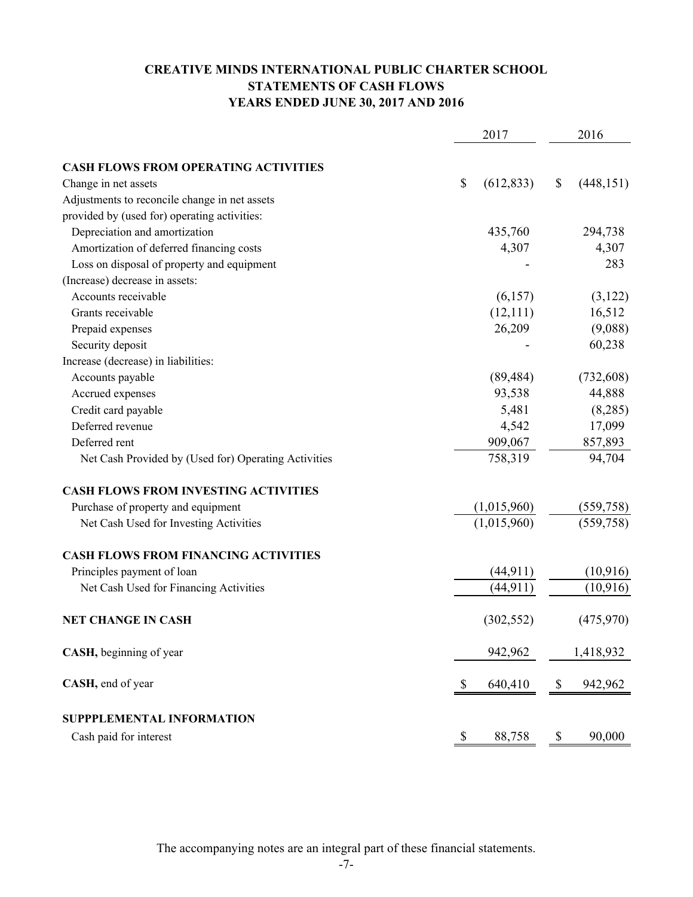# **CREATIVE MINDS INTERNATIONAL PUBLIC CHARTER SCHOOL STATEMENTS OF CASH FLOWS YEARS ENDED JUNE 30, 2017 AND 2016**

|                                                      | 2017             | 2016             |  |
|------------------------------------------------------|------------------|------------------|--|
| <b>CASH FLOWS FROM OPERATING ACTIVITIES</b>          |                  |                  |  |
| Change in net assets                                 | \$<br>(612, 833) | \$<br>(448, 151) |  |
| Adjustments to reconcile change in net assets        |                  |                  |  |
| provided by (used for) operating activities:         |                  |                  |  |
| Depreciation and amortization                        | 435,760          | 294,738          |  |
| Amortization of deferred financing costs             | 4,307            | 4,307            |  |
| Loss on disposal of property and equipment           |                  | 283              |  |
| (Increase) decrease in assets:                       |                  |                  |  |
| Accounts receivable                                  | (6,157)          | (3,122)          |  |
| Grants receivable                                    | (12,111)         | 16,512           |  |
| Prepaid expenses                                     | 26,209           | (9,088)          |  |
| Security deposit                                     |                  | 60,238           |  |
| Increase (decrease) in liabilities:                  |                  |                  |  |
| Accounts payable                                     | (89, 484)        | (732, 608)       |  |
| Accrued expenses                                     | 93,538           | 44,888           |  |
| Credit card payable                                  | 5,481            | (8,285)          |  |
| Deferred revenue                                     | 4,542            | 17,099           |  |
| Deferred rent                                        | 909,067          | 857,893          |  |
| Net Cash Provided by (Used for) Operating Activities | 758,319          | 94,704           |  |
| <b>CASH FLOWS FROM INVESTING ACTIVITIES</b>          |                  |                  |  |
| Purchase of property and equipment                   | (1,015,960)      | (559, 758)       |  |
| Net Cash Used for Investing Activities               | (1,015,960)      | (559, 758)       |  |
| <b>CASH FLOWS FROM FINANCING ACTIVITIES</b>          |                  |                  |  |
| Principles payment of loan                           | (44, 911)        | (10, 916)        |  |
| Net Cash Used for Financing Activities               | (44, 911)        | (10, 916)        |  |
| <b>NET CHANGE IN CASH</b>                            | (302, 552)       | (475,970)        |  |
| CASH, beginning of year                              | 942,962          | 1,418,932        |  |
| CASH, end of year                                    | 640,410<br>\$    | 942,962<br>\$    |  |
| SUPPPLEMENTAL INFORMATION                            |                  |                  |  |
| Cash paid for interest                               | \$<br>88,758     | 90,000<br>\$     |  |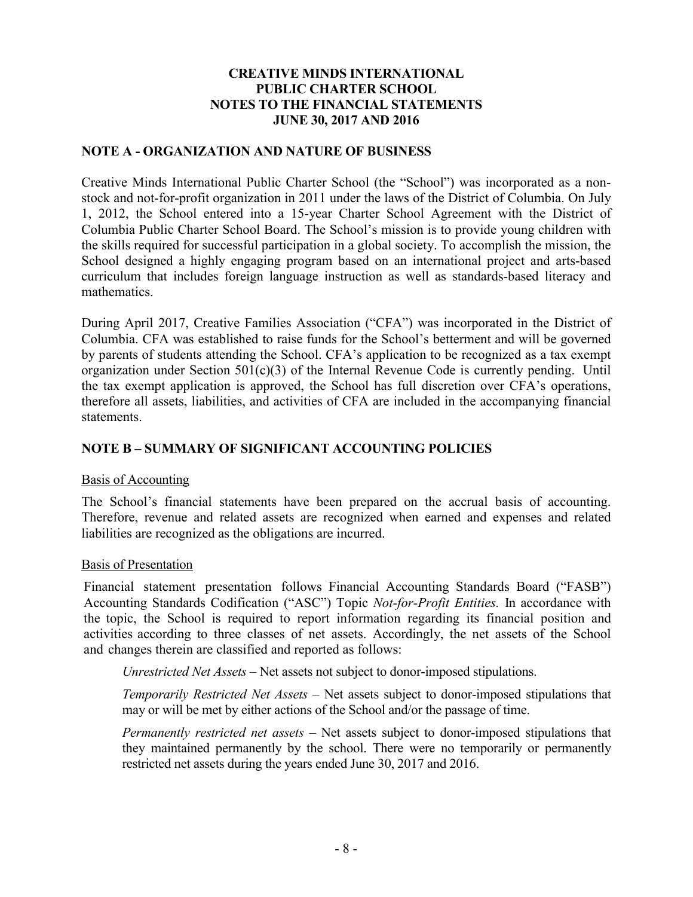### **NOTE A - ORGANIZATION AND NATURE OF BUSINESS**

Creative Minds International Public Charter School (the "School") was incorporated as a nonstock and not-for-profit organization in 2011 under the laws of the District of Columbia. On July 1, 2012, the School entered into a 15-year Charter School Agreement with the District of Columbia Public Charter School Board. The School's mission is to provide young children with the skills required for successful participation in a global society. To accomplish the mission, the School designed a highly engaging program based on an international project and arts-based curriculum that includes foreign language instruction as well as standards-based literacy and mathematics.

During April 2017, Creative Families Association ("CFA") was incorporated in the District of Columbia. CFA was established to raise funds for the School's betterment and will be governed by parents of students attending the School. CFA's application to be recognized as a tax exempt organization under Section  $501(c)(3)$  of the Internal Revenue Code is currently pending. Until the tax exempt application is approved, the School has full discretion over CFA's operations, therefore all assets, liabilities, and activities of CFA are included in the accompanying financial statements.

# **NOTE B – SUMMARY OF SIGNIFICANT ACCOUNTING POLICIES**

### Basis of Accounting

The School's financial statements have been prepared on the accrual basis of accounting. Therefore, revenue and related assets are recognized when earned and expenses and related liabilities are recognized as the obligations are incurred.

### Basis of Presentation

Financial statement presentation follows Financial Accounting Standards Board ("FASB") Accounting Standards Codification ("ASC") Topic *Not-for-Profit Entities.* In accordance with the topic, the School is required to report information regarding its financial position and activities according to three classes of net assets. Accordingly, the net assets of the School and changes therein are classified and reported as follows:

*Unrestricted Net Assets* – Net assets not subject to donor-imposed stipulations.

*Temporarily Restricted Net Assets* – Net assets subject to donor-imposed stipulations that may or will be met by either actions of the School and/or the passage of time.

*Permanently restricted net assets* – Net assets subject to donor-imposed stipulations that they maintained permanently by the school. There were no temporarily or permanently restricted net assets during the years ended June 30, 2017 and 2016.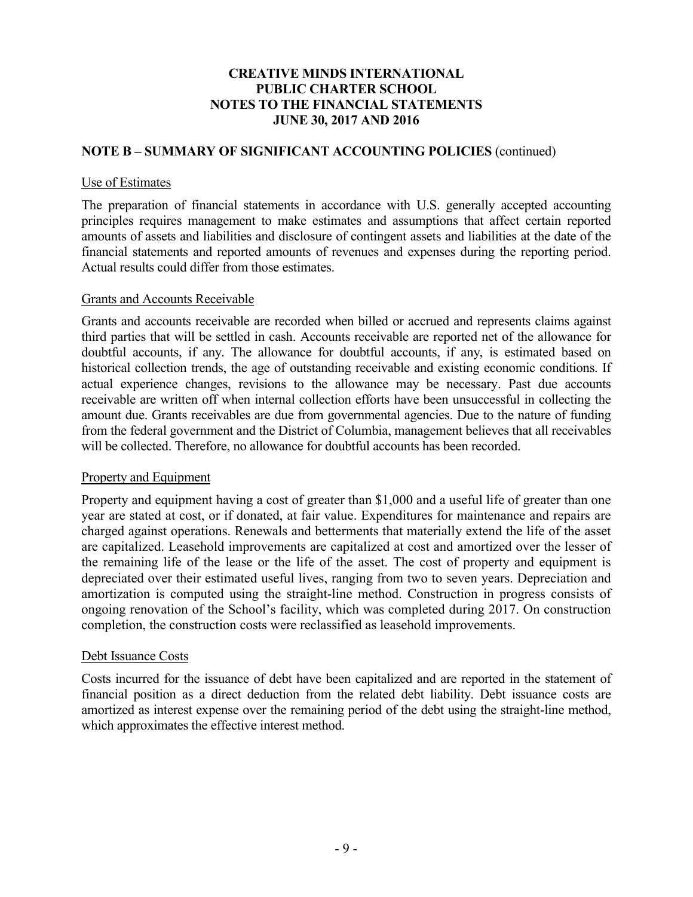# **NOTE B – SUMMARY OF SIGNIFICANT ACCOUNTING POLICIES** (continued)

## Use of Estimates

The preparation of financial statements in accordance with U.S. generally accepted accounting principles requires management to make estimates and assumptions that affect certain reported amounts of assets and liabilities and disclosure of contingent assets and liabilities at the date of the financial statements and reported amounts of revenues and expenses during the reporting period. Actual results could differ from those estimates.

### Grants and Accounts Receivable

Grants and accounts receivable are recorded when billed or accrued and represents claims against third parties that will be settled in cash. Accounts receivable are reported net of the allowance for doubtful accounts, if any. The allowance for doubtful accounts, if any, is estimated based on historical collection trends, the age of outstanding receivable and existing economic conditions. If actual experience changes, revisions to the allowance may be necessary. Past due accounts receivable are written off when internal collection efforts have been unsuccessful in collecting the amount due. Grants receivables are due from governmental agencies. Due to the nature of funding from the federal government and the District of Columbia, management believes that all receivables will be collected. Therefore, no allowance for doubtful accounts has been recorded.

### Property and Equipment

Property and equipment having a cost of greater than \$1,000 and a useful life of greater than one year are stated at cost, or if donated, at fair value. Expenditures for maintenance and repairs are charged against operations. Renewals and betterments that materially extend the life of the asset are capitalized. Leasehold improvements are capitalized at cost and amortized over the lesser of the remaining life of the lease or the life of the asset. The cost of property and equipment is depreciated over their estimated useful lives, ranging from two to seven years. Depreciation and amortization is computed using the straight-line method. Construction in progress consists of ongoing renovation of the School's facility, which was completed during 2017. On construction completion, the construction costs were reclassified as leasehold improvements.

# Debt Issuance Costs

Costs incurred for the issuance of debt have been capitalized and are reported in the statement of financial position as a direct deduction from the related debt liability. Debt issuance costs are amortized as interest expense over the remaining period of the debt using the straight-line method, which approximates the effective interest method.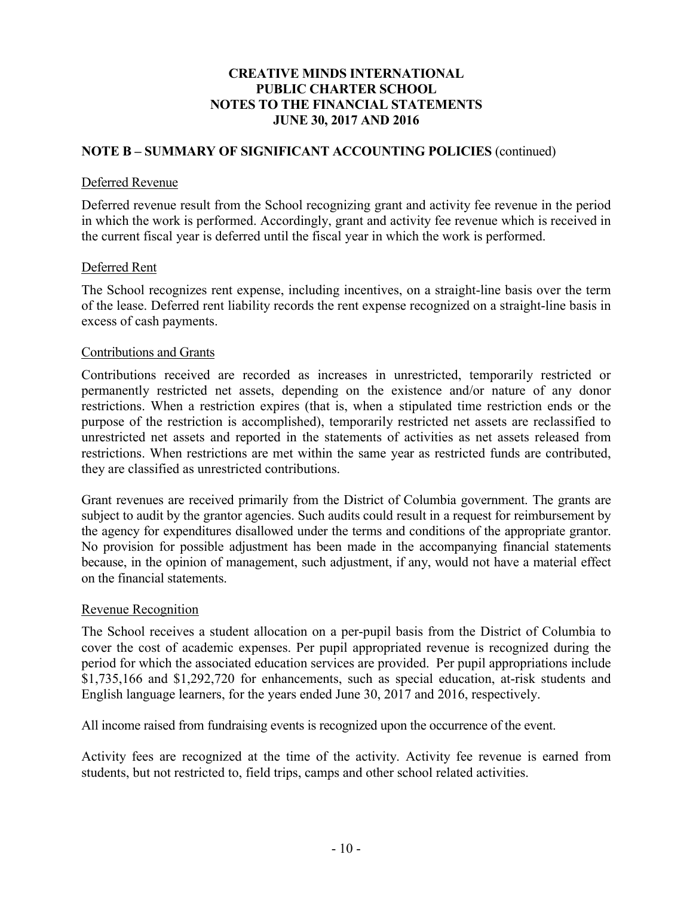# **NOTE B – SUMMARY OF SIGNIFICANT ACCOUNTING POLICIES** (continued)

### Deferred Revenue

Deferred revenue result from the School recognizing grant and activity fee revenue in the period in which the work is performed. Accordingly, grant and activity fee revenue which is received in the current fiscal year is deferred until the fiscal year in which the work is performed.

### Deferred Rent

The School recognizes rent expense, including incentives, on a straight-line basis over the term of the lease. Deferred rent liability records the rent expense recognized on a straight-line basis in excess of cash payments.

#### Contributions and Grants

Contributions received are recorded as increases in unrestricted, temporarily restricted or permanently restricted net assets, depending on the existence and/or nature of any donor restrictions. When a restriction expires (that is, when a stipulated time restriction ends or the purpose of the restriction is accomplished), temporarily restricted net assets are reclassified to unrestricted net assets and reported in the statements of activities as net assets released from restrictions. When restrictions are met within the same year as restricted funds are contributed, they are classified as unrestricted contributions.

Grant revenues are received primarily from the District of Columbia government. The grants are subject to audit by the grantor agencies. Such audits could result in a request for reimbursement by the agency for expenditures disallowed under the terms and conditions of the appropriate grantor. No provision for possible adjustment has been made in the accompanying financial statements because, in the opinion of management, such adjustment, if any, would not have a material effect on the financial statements.

### Revenue Recognition

The School receives a student allocation on a per-pupil basis from the District of Columbia to cover the cost of academic expenses. Per pupil appropriated revenue is recognized during the period for which the associated education services are provided. Per pupil appropriations include \$1,735,166 and \$1,292,720 for enhancements, such as special education, at-risk students and English language learners, for the years ended June 30, 2017 and 2016, respectively.

All income raised from fundraising events is recognized upon the occurrence of the event.

Activity fees are recognized at the time of the activity. Activity fee revenue is earned from students, but not restricted to, field trips, camps and other school related activities.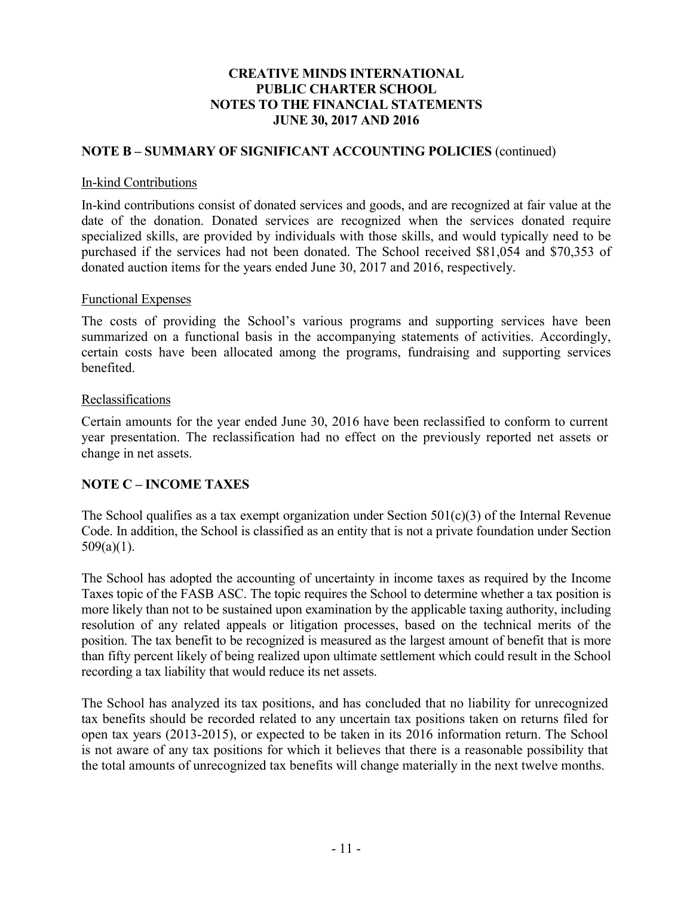# **NOTE B – SUMMARY OF SIGNIFICANT ACCOUNTING POLICIES** (continued)

### In-kind Contributions

In-kind contributions consist of donated services and goods, and are recognized at fair value at the date of the donation. Donated services are recognized when the services donated require specialized skills, are provided by individuals with those skills, and would typically need to be purchased if the services had not been donated. The School received \$81,054 and \$70,353 of donated auction items for the years ended June 30, 2017 and 2016, respectively.

#### Functional Expenses

The costs of providing the School's various programs and supporting services have been summarized on a functional basis in the accompanying statements of activities. Accordingly, certain costs have been allocated among the programs, fundraising and supporting services benefited.

### Reclassifications

Certain amounts for the year ended June 30, 2016 have been reclassified to conform to current year presentation. The reclassification had no effect on the previously reported net assets or change in net assets.

# **NOTE C – INCOME TAXES**

The School qualifies as a tax exempt organization under Section 501(c)(3) of the Internal Revenue Code. In addition, the School is classified as an entity that is not a private foundation under Section  $509(a)(1)$ .

The School has adopted the accounting of uncertainty in income taxes as required by the Income Taxes topic of the FASB ASC. The topic requires the School to determine whether a tax position is more likely than not to be sustained upon examination by the applicable taxing authority, including resolution of any related appeals or litigation processes, based on the technical merits of the position. The tax benefit to be recognized is measured as the largest amount of benefit that is more than fifty percent likely of being realized upon ultimate settlement which could result in the School recording a tax liability that would reduce its net assets.

The School has analyzed its tax positions, and has concluded that no liability for unrecognized tax benefits should be recorded related to any uncertain tax positions taken on returns filed for open tax years (2013-2015), or expected to be taken in its 2016 information return. The School is not aware of any tax positions for which it believes that there is a reasonable possibility that the total amounts of unrecognized tax benefits will change materially in the next twelve months.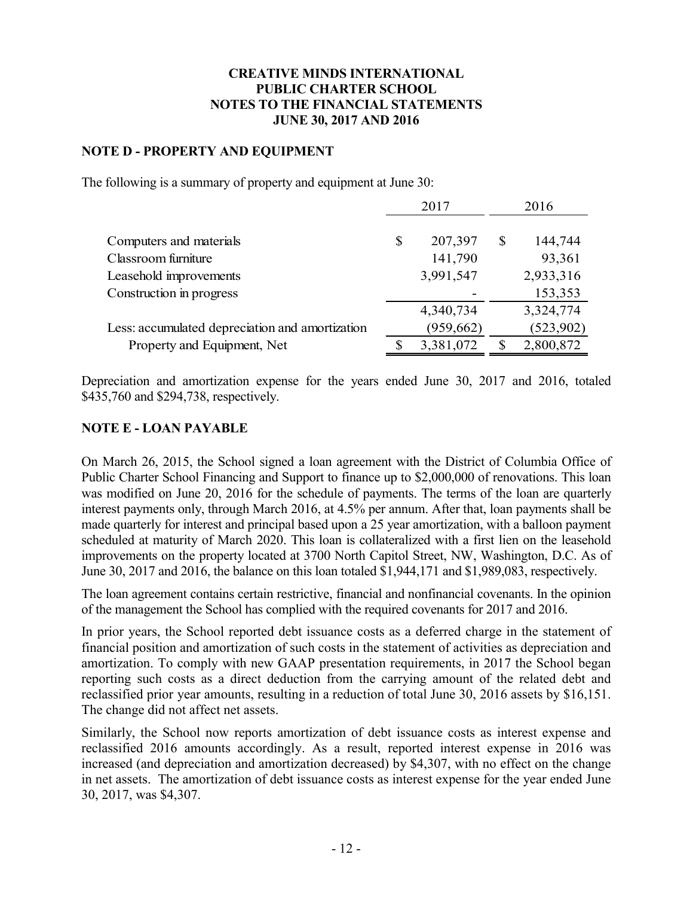# **NOTE D - PROPERTY AND EQUIPMENT**

The following is a summary of property and equipment at June 30:

|                                                 | 2017 |            | 2016 |            |
|-------------------------------------------------|------|------------|------|------------|
| Computers and materials                         | \$   | 207,397    | S    | 144,744    |
| Classroom furniture                             |      | 141,790    |      | 93,361     |
| Leasehold improvements                          |      | 3,991,547  |      | 2,933,316  |
| Construction in progress                        |      |            |      | 153,353    |
|                                                 |      | 4,340,734  |      | 3,324,774  |
| Less: accumulated depreciation and amortization |      | (959, 662) |      | (523, 902) |
| Property and Equipment, Net                     |      | 3,381,072  |      | 2,800,872  |

Depreciation and amortization expense for the years ended June 30, 2017 and 2016, totaled \$435,760 and \$294,738, respectively.

# **NOTE E - LOAN PAYABLE**

On March 26, 2015, the School signed a loan agreement with the District of Columbia Office of Public Charter School Financing and Support to finance up to \$2,000,000 of renovations. This loan was modified on June 20, 2016 for the schedule of payments. The terms of the loan are quarterly interest payments only, through March 2016, at 4.5% per annum. After that, loan payments shall be made quarterly for interest and principal based upon a 25 year amortization, with a balloon payment scheduled at maturity of March 2020. This loan is collateralized with a first lien on the leasehold improvements on the property located at 3700 North Capitol Street, NW, Washington, D.C. As of June 30, 2017 and 2016, the balance on this loan totaled \$1,944,171 and \$1,989,083, respectively.

The loan agreement contains certain restrictive, financial and nonfinancial covenants. In the opinion of the management the School has complied with the required covenants for 2017 and 2016.

In prior years, the School reported debt issuance costs as a deferred charge in the statement of financial position and amortization of such costs in the statement of activities as depreciation and amortization. To comply with new GAAP presentation requirements, in 2017 the School began reporting such costs as a direct deduction from the carrying amount of the related debt and reclassified prior year amounts, resulting in a reduction of total June 30, 2016 assets by \$16,151. The change did not affect net assets.

Similarly, the School now reports amortization of debt issuance costs as interest expense and reclassified 2016 amounts accordingly. As a result, reported interest expense in 2016 was increased (and depreciation and amortization decreased) by \$4,307, with no effect on the change in net assets. The amortization of debt issuance costs as interest expense for the year ended June 30, 2017, was \$4,307.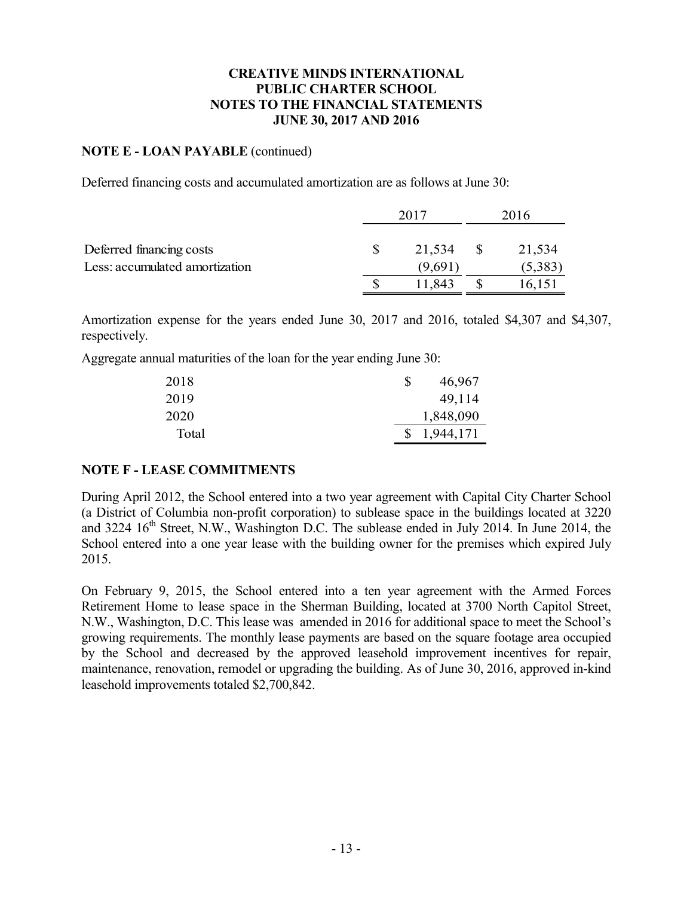### **NOTE E - LOAN PAYABLE** (continued)

Deferred financing costs and accumulated amortization are as follows at June 30:

|                                | 2017    | 2016    |
|--------------------------------|---------|---------|
| Deferred financing costs       | 21,534  | 21,534  |
| Less: accumulated amortization | (9,691) | (5,383) |
|                                | 11,843  | 16,151  |

Amortization expense for the years ended June 30, 2017 and 2016, totaled \$4,307 and \$4,307, respectively.

Aggregate annual maturities of the loan for the year ending June 30:

| 2018  | S | 46,967    |
|-------|---|-----------|
| 2019  |   | 49,114    |
| 2020  |   | 1,848,090 |
| Total |   | 1,944,171 |

# **NOTE F - LEASE COMMITMENTS**

During April 2012, the School entered into a two year agreement with Capital City Charter School (a District of Columbia non-profit corporation) to sublease space in the buildings located at 3220 and  $3224 \, 16^{th}$  Street, N.W., Washington D.C. The sublease ended in July 2014. In June 2014, the School entered into a one year lease with the building owner for the premises which expired July 2015.

On February 9, 2015, the School entered into a ten year agreement with the Armed Forces Retirement Home to lease space in the Sherman Building, located at 3700 North Capitol Street, N.W., Washington, D.C. This lease was amended in 2016 for additional space to meet the School's growing requirements. The monthly lease payments are based on the square footage area occupied by the School and decreased by the approved leasehold improvement incentives for repair, maintenance, renovation, remodel or upgrading the building. As of June 30, 2016, approved in-kind leasehold improvements totaled \$2,700,842.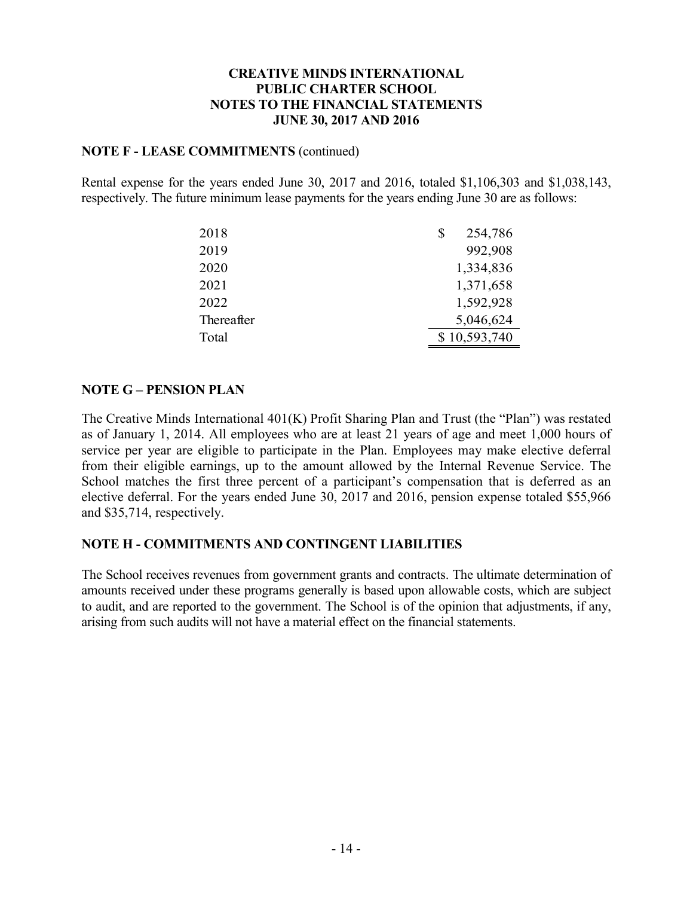### **NOTE F - LEASE COMMITMENTS** (continued)

Rental expense for the years ended June 30, 2017 and 2016, totaled \$1,106,303 and \$1,038,143, respectively. The future minimum lease payments for the years ending June 30 are as follows:

| 2018       | \$<br>254,786 |
|------------|---------------|
| 2019       | 992,908       |
| 2020       | 1,334,836     |
| 2021       | 1,371,658     |
| 2022       | 1,592,928     |
| Thereafter | 5,046,624     |
| Total      | \$10,593,740  |

# **NOTE G – PENSION PLAN**

The Creative Minds International 401(K) Profit Sharing Plan and Trust (the "Plan") was restated as of January 1, 2014. All employees who are at least 21 years of age and meet 1,000 hours of service per year are eligible to participate in the Plan. Employees may make elective deferral from their eligible earnings, up to the amount allowed by the Internal Revenue Service. The School matches the first three percent of a participant's compensation that is deferred as an elective deferral. For the years ended June 30, 2017 and 2016, pension expense totaled \$55,966 and \$35,714, respectively.

# **NOTE H - COMMITMENTS AND CONTINGENT LIABILITIES**

The School receives revenues from government grants and contracts. The ultimate determination of amounts received under these programs generally is based upon allowable costs, which are subject to audit, and are reported to the government. The School is of the opinion that adjustments, if any, arising from such audits will not have a material effect on the financial statements.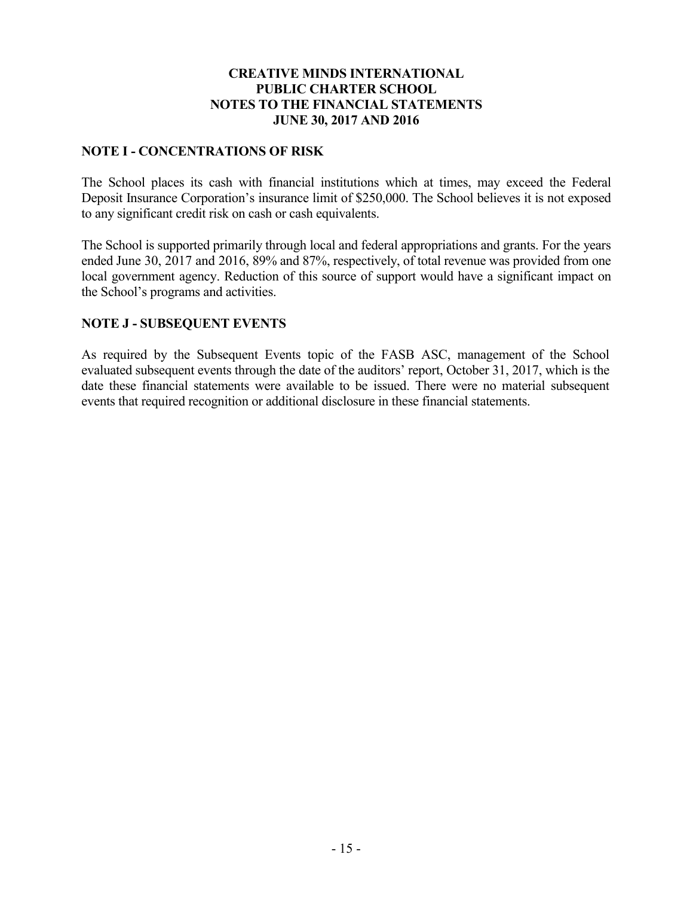## **NOTE I - CONCENTRATIONS OF RISK**

The School places its cash with financial institutions which at times, may exceed the Federal Deposit Insurance Corporation's insurance limit of \$250,000. The School believes it is not exposed to any significant credit risk on cash or cash equivalents.

The School is supported primarily through local and federal appropriations and grants. For the years ended June 30, 2017 and 2016, 89% and 87%, respectively, of total revenue was provided from one local government agency. Reduction of this source of support would have a significant impact on the School's programs and activities.

# **NOTE J - SUBSEQUENT EVENTS**

As required by the Subsequent Events topic of the FASB ASC, management of the School evaluated subsequent events through the date of the auditors' report, October 31, 2017, which is the date these financial statements were available to be issued. There were no material subsequent events that required recognition or additional disclosure in these financial statements.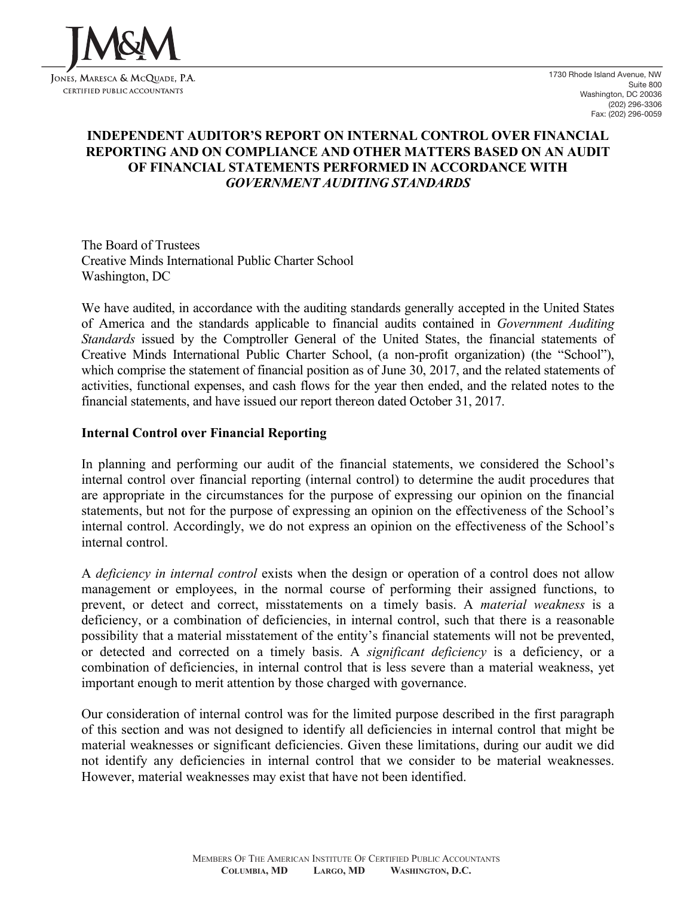

# **INDEPENDENT AUDITOR'S REPORT ON INTERNAL CONTROL OVER FINANCIAL REPORTING AND ON COMPLIANCE AND OTHER MATTERS BASED ON AN AUDIT OF FINANCIAL STATEMENTS PERFORMED IN ACCORDANCE WITH** *GOVERNMENT AUDITING STANDARDS*

The Board of Trustees Creative Minds International Public Charter School Washington, DC

We have audited, in accordance with the auditing standards generally accepted in the United States of America and the standards applicable to financial audits contained in *Government Auditing Standards* issued by the Comptroller General of the United States, the financial statements of Creative Minds International Public Charter School, (a non-profit organization) (the "School"), which comprise the statement of financial position as of June 30, 2017, and the related statements of activities, functional expenses, and cash flows for the year then ended, and the related notes to the financial statements, and have issued our report thereon dated October 31, 2017.

# **Internal Control over Financial Reporting**

In planning and performing our audit of the financial statements, we considered the School's internal control over financial reporting (internal control) to determine the audit procedures that are appropriate in the circumstances for the purpose of expressing our opinion on the financial statements, but not for the purpose of expressing an opinion on the effectiveness of the School's internal control. Accordingly, we do not express an opinion on the effectiveness of the School's internal control.

A *deficiency in internal control* exists when the design or operation of a control does not allow management or employees, in the normal course of performing their assigned functions, to prevent, or detect and correct, misstatements on a timely basis. A *material weakness* is a deficiency, or a combination of deficiencies, in internal control, such that there is a reasonable possibility that a material misstatement of the entity's financial statements will not be prevented, or detected and corrected on a timely basis. A *significant deficiency* is a deficiency, or a combination of deficiencies, in internal control that is less severe than a material weakness, yet important enough to merit attention by those charged with governance.

Our consideration of internal control was for the limited purpose described in the first paragraph of this section and was not designed to identify all deficiencies in internal control that might be material weaknesses or significant deficiencies. Given these limitations, during our audit we did not identify any deficiencies in internal control that we consider to be material weaknesses. However, material weaknesses may exist that have not been identified.